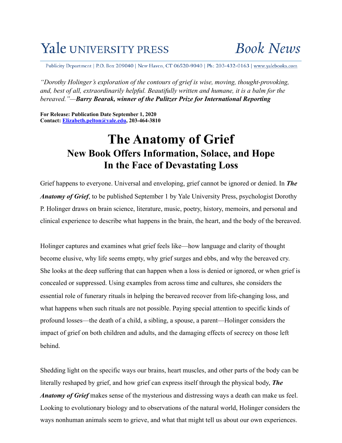# Yale UNIVERSITY PRESS

Publicity Department | P.O. Box 209040 | New Haven, CT 06520-9040 | Ph: 203-432-0163 | www.yalebooks.com

*"Dorothy Holinger's exploration of the contours of grief is wise, moving, thought-provoking, and, best of all, extraordinarily helpful. Beautifully written and humane, it is a balm for the bereaved."—Barry Bearak, winner of the Pulitzer Prize for International Reporting*

**For Release: Publication Date September 1, 2020 Contact: [Elizabeth.pelton@yale.edu](mailto:Elizabeth.pelton@yale.edu), 203-464-3810**

# **The Anatomy of Grief New Book Offers Information, Solace, and Hope In the Face of Devastating Loss**

Grief happens to everyone. Universal and enveloping, grief cannot be ignored or denied. In *The Anatomy of Grief*, to be published September 1 by Yale University Press, psychologist Dorothy P. Holinger draws on brain science, literature, music, poetry, history, memoirs, and personal and clinical experience to describe what happens in the brain, the heart, and the body of the bereaved.

Holinger captures and examines what grief feels like—how language and clarity of thought become elusive, why life seems empty, why grief surges and ebbs, and why the bereaved cry. She looks at the deep suffering that can happen when a loss is denied or ignored, or when grief is concealed or suppressed. Using examples from across time and cultures, she considers the essential role of funerary rituals in helping the bereaved recover from life-changing loss, and what happens when such rituals are not possible. Paying special attention to specific kinds of profound losses—the death of a child, a sibling, a spouse, a parent—Holinger considers the impact of grief on both children and adults, and the damaging effects of secrecy on those left behind.

Shedding light on the specific ways our brains, heart muscles, and other parts of the body can be literally reshaped by grief, and how grief can express itself through the physical body, *The Anatomy of Grief* makes sense of the mysterious and distressing ways a death can make us feel. Looking to evolutionary biology and to observations of the natural world, Holinger considers the ways nonhuman animals seem to grieve, and what that might tell us about our own experiences.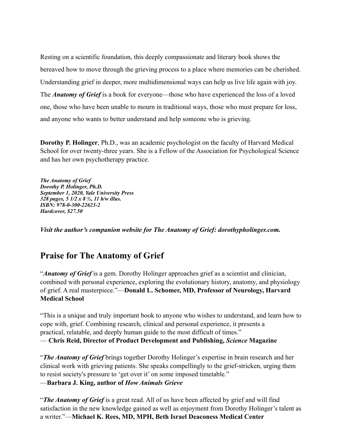Resting on a scientific foundation, this deeply compassionate and literary book shows the bereaved how to move through the grieving process to a place where memories can be cherished. Understanding grief in deeper, more multidimensional ways can help us live life again with joy. The *Anatomy of Grief* is a book for everyone—those who have experienced the loss of a loved one, those who have been unable to mourn in traditional ways, those who must prepare for loss, and anyone who wants to better understand and help someone who is grieving.

**Dorothy P. Holinger**, Ph.D., was an academic psychologist on the faculty of Harvard Medical School for over twenty-three years. She is a Fellow of the Association for Psychological Science and has her own psychotherapy practice.

*The Anatomy of Grief Dorothy P. Holinger, Ph.D. September 1, 2020, Yale University Press 328 pages, 5 1/2 x 8 ½, 11 b/w illus. ISBN: 978-0-300-22623-2 Hardcover, \$27.50* 

*Visit the author's companion website for The Anatomy of Grief: dorothypholinger.com.* 

# **Praise for The Anatomy of Grief**

"*Anatomy of Grief* is a gem. Dorothy Holinger approaches grief as a scientist and clinician, combined with personal experience, exploring the evolutionary history, anatomy, and physiology of grief. A real masterpiece."—**Donald L. Schomer, MD, Professor of Neurology, Harvard Medical School** 

"This is a unique and truly important book to anyone who wishes to understand, and learn how to cope with, grief. Combining research, clinical and personal experience, it presents a practical, relatable, and deeply human guide to the most difficult of times."

— **Chris Reid, Director of Product Development and Publishing,** *Science* **Magazine**

"*The Anatomy of Grief* brings together Dorothy Holinger's expertise in brain research and her clinical work with grieving patients. She speaks compellingly to the grief-stricken, urging them to resist society's pressure to 'get over it' on some imposed timetable."

—**Barbara J. King, author of** *How Animals Grieve*

"*The Anatomy of Grief* is a great read. All of us have been affected by grief and will find satisfaction in the new knowledge gained as well as enjoyment from Dorothy Holinger's talent as a writer."—**Michael K. Rees, MD, MPH, Beth Israel Deaconess Medical Center**